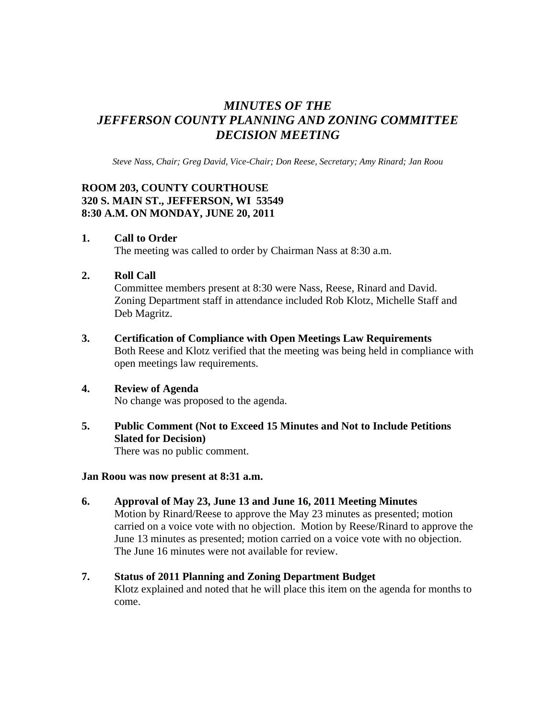# *MINUTES OF THE JEFFERSON COUNTY PLANNING AND ZONING COMMITTEE DECISION MEETING*

*Steve Nass, Chair; Greg David, Vice-Chair; Don Reese, Secretary; Amy Rinard; Jan Roou* 

## **ROOM 203, COUNTY COURTHOUSE 320 S. MAIN ST., JEFFERSON, WI 53549 8:30 A.M. ON MONDAY, JUNE 20, 2011**

#### **1. Call to Order**

The meeting was called to order by Chairman Nass at 8:30 a.m.

## **2. Roll Call**

Committee members present at 8:30 were Nass, Reese, Rinard and David. Zoning Department staff in attendance included Rob Klotz, Michelle Staff and Deb Magritz.

#### **3. Certification of Compliance with Open Meetings Law Requirements**

Both Reese and Klotz verified that the meeting was being held in compliance with open meetings law requirements.

#### **4. Review of Agenda**

No change was proposed to the agenda.

# **5. Public Comment (Not to Exceed 15 Minutes and Not to Include Petitions Slated for Decision)**

There was no public comment.

#### **Jan Roou was now present at 8:31 a.m.**

**6. Approval of May 23, June 13 and June 16, 2011 Meeting Minutes**  Motion by Rinard/Reese to approve the May 23 minutes as presented; motion carried on a voice vote with no objection. Motion by Reese/Rinard to approve the June 13 minutes as presented; motion carried on a voice vote with no objection. The June 16 minutes were not available for review.

# **7. Status of 2011 Planning and Zoning Department Budget**

Klotz explained and noted that he will place this item on the agenda for months to come.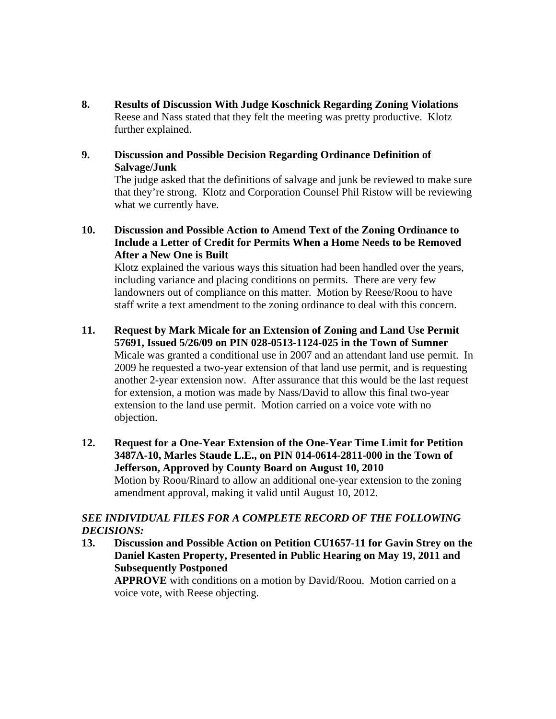**8. Results of Discussion With Judge Koschnick Regarding Zoning Violations**  Reese and Nass stated that they felt the meeting was pretty productive. Klotz further explained.

## **9. Discussion and Possible Decision Regarding Ordinance Definition of Salvage/Junk**

The judge asked that the definitions of salvage and junk be reviewed to make sure that they're strong. Klotz and Corporation Counsel Phil Ristow will be reviewing what we currently have.

**10. Discussion and Possible Action to Amend Text of the Zoning Ordinance to Include a Letter of Credit for Permits When a Home Needs to be Removed After a New One is Built** 

Klotz explained the various ways this situation had been handled over the years, including variance and placing conditions on permits. There are very few landowners out of compliance on this matter. Motion by Reese/Roou to have staff write a text amendment to the zoning ordinance to deal with this concern.

# **11. Request by Mark Micale for an Extension of Zoning and Land Use Permit**

**57691, Issued 5/26/09 on PIN 028-0513-1124-025 in the Town of Sumner**  Micale was granted a conditional use in 2007 and an attendant land use permit. In 2009 he requested a two-year extension of that land use permit, and is requesting another 2-year extension now. After assurance that this would be the last request for extension, a motion was made by Nass/David to allow this final two-year extension to the land use permit. Motion carried on a voice vote with no objection.

**12. Request for a One-Year Extension of the One-Year Time Limit for Petition 3487A-10, Marles Staude L.E., on PIN 014-0614-2811-000 in the Town of Jefferson, Approved by County Board on August 10, 2010**  Motion by Roou/Rinard to allow an additional one-year extension to the zoning amendment approval, making it valid until August 10, 2012.

## *SEE INDIVIDUAL FILES FOR A COMPLETE RECORD OF THE FOLLOWING DECISIONS:*

**13. Discussion and Possible Action on Petition CU1657-11 for Gavin Strey on the Daniel Kasten Property, Presented in Public Hearing on May 19, 2011 and Subsequently Postponed** 

 **APPROVE** with conditions on a motion by David/Roou. Motion carried on a voice vote, with Reese objecting.